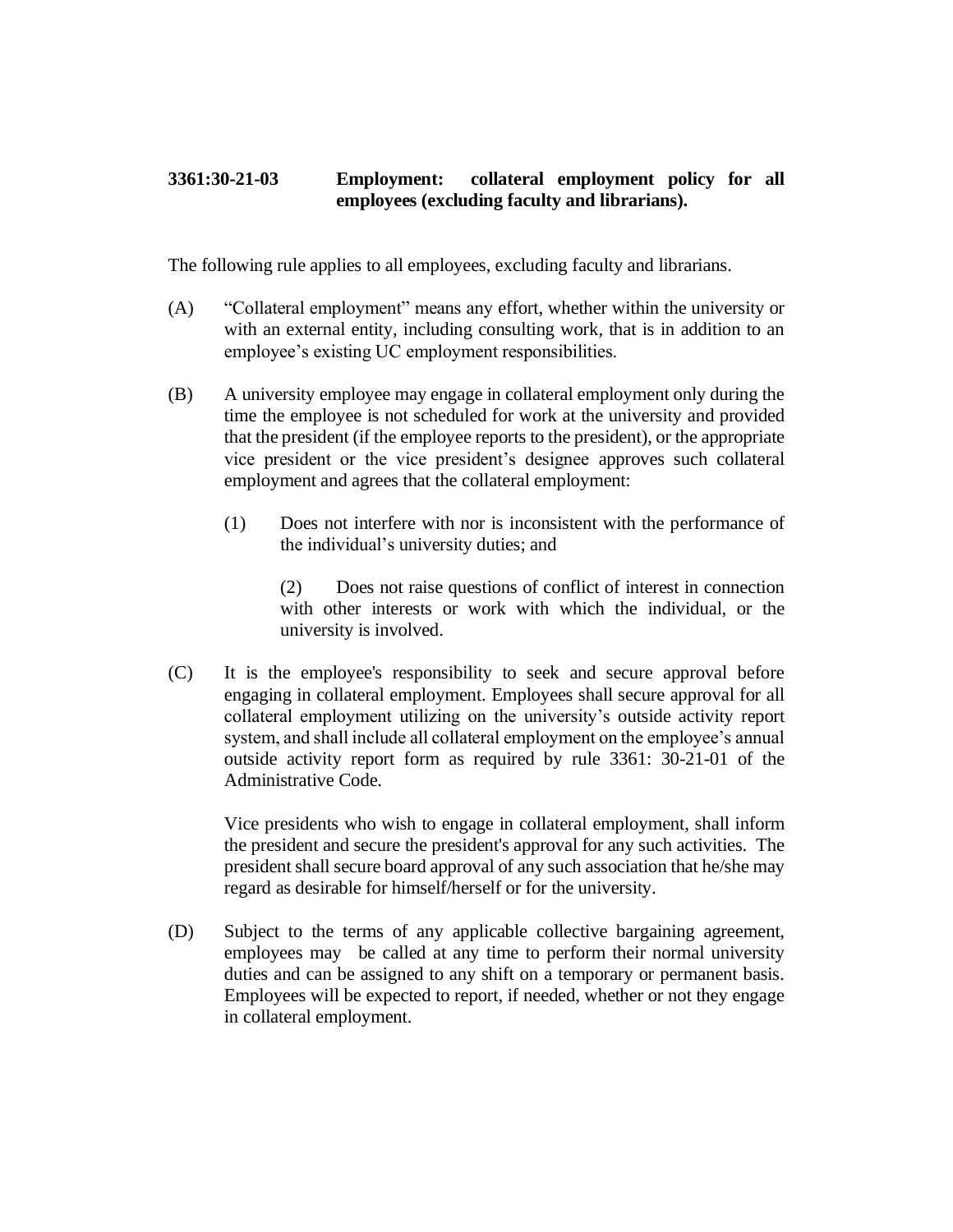## **3361:30-21-03 Employment: collateral employment policy for all employees (excluding faculty and librarians).**

The following rule applies to all employees, excluding faculty and librarians.

- (A) "Collateral employment" means any effort, whether within the university or with an external entity, including consulting work, that is in addition to an employee's existing UC employment responsibilities.
- (B) A university employee may engage in collateral employment only during the time the employee is not scheduled for work at the university and provided that the president (if the employee reports to the president), or the appropriate vice president or the vice president's designee approves such collateral employment and agrees that the collateral employment:
	- (1) Does not interfere with nor is inconsistent with the performance of the individual's university duties; and

(2) Does not raise questions of conflict of interest in connection with other interests or work with which the individual, or the university is involved.

(C) It is the employee's responsibility to seek and secure approval before engaging in collateral employment. Employees shall secure approval for all collateral employment utilizing on the university's outside activity report system, and shall include all collateral employment on the employee's annual outside activity report form as required by rule 3361: 30-21-01 of the Administrative Code.

Vice presidents who wish to engage in collateral employment, shall inform the president and secure the president's approval for any such activities. The president shall secure board approval of any such association that he/she may regard as desirable for himself/herself or for the university.

(D) Subject to the terms of any applicable collective bargaining agreement, employees may be called at any time to perform their normal university duties and can be assigned to any shift on a temporary or permanent basis. Employees will be expected to report, if needed, whether or not they engage in collateral employment.